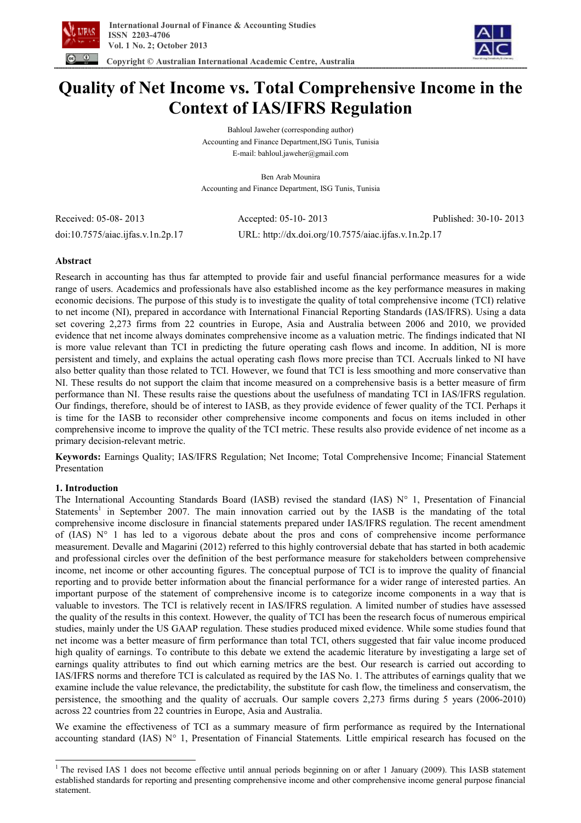



# **Quality of Net Income vs. Total Comprehensive Income in the Context of IAS/IFRS Regulation**

Bahloul Jaweher (corresponding author) Accounting and Finance Department,ISG Tunis, Tunisia E-mail: bahloul.jaweher@gmail.com

Ben Arab Mounira Accounting and Finance Department, ISG Tunis, Tunisia

Received: 05-08- 2013 Accepted: 05-10- 2013 Published: 30-10- 2013 doi:10.7575/aiac.ijfas.v.1n.2p.17 URL: http://dx.doi.org/10.7575/aiac.ijfas.v.1n.2p.17

## **Abstract**

Research in accounting has thus far attempted to provide fair and useful financial performance measures for a wide range of users. Academics and professionals have also established income as the key performance measures in making economic decisions. The purpose of this study is to investigate the quality of total comprehensive income (TCI) relative to net income (NI), prepared in accordance with International Financial Reporting Standards (IAS/IFRS). Using a data set covering 2,273 firms from 22 countries in Europe, Asia and Australia between 2006 and 2010, we provided evidence that net income always dominates comprehensive income as a valuation metric. The findings indicated that NI is more value relevant than TCI in predicting the future operating cash flows and income. In addition, NI is more persistent and timely, and explains the actual operating cash flows more precise than TCI. Accruals linked to NI have also better quality than those related to TCI. However, we found that TCI is less smoothing and more conservative than NI. These results do not support the claim that income measured on a comprehensive basis is a better measure of firm performance than NI. These results raise the questions about the usefulness of mandating TCI in IAS/IFRS regulation. Our findings, therefore, should be of interest to IASB, as they provide evidence of fewer quality of the TCI. Perhaps it is time for the IASB to reconsider other comprehensive income components and focus on items included in other comprehensive income to improve the quality of the TCI metric. These results also provide evidence of net income as a primary decision-relevant metric.

**Keywords:** Earnings Quality; IAS/IFRS Regulation; Net Income; Total Comprehensive Income; Financial Statement Presentation

## **1. Introduction**

 $\overline{\phantom{a}}$ 

The International Accounting Standards Board (IASB) revised the standard (IAS)  $N^{\circ}$  1, Presentation of Financial Statements<sup>1</sup> in September 2007. The main innovation carried out by the IASB is the mandating of the total comprehensive income disclosure in financial statements prepared under IAS/IFRS regulation. The recent amendment of  $(IAS)$  N° 1 has led to a vigorous debate about the pros and cons of comprehensive income performance measurement. Devalle and Magarini (2012) referred to this highly controversial debate that has started in both academic and professional circles over the definition of the best performance measure for stakeholders between comprehensive income, net income or other accounting figures. The conceptual purpose of TCI is to improve the quality of financial reporting and to provide better information about the financial performance for a wider range of interested parties. An important purpose of the statement of comprehensive income is to categorize income components in a way that is valuable to investors. The TCI is relatively recent in IAS/IFRS regulation. A limited number of studies have assessed the quality of the results in this context. However, the quality of TCI has been the research focus of numerous empirical studies, mainly under the US GAAP regulation. These studies produced mixed evidence. While some studies found that net income was a better measure of firm performance than total TCI, others suggested that fair value income produced high quality of earnings. To contribute to this debate we extend the academic literature by investigating a large set of earnings quality attributes to find out which earning metrics are the best. Our research is carried out according to IAS/IFRS norms and therefore TCI is calculated as required by the IAS No. 1. The attributes of earnings quality that we examine include the value relevance, the predictability, the substitute for cash flow, the timeliness and conservatism, the persistence, the smoothing and the quality of accruals. Our sample covers 2,273 firms during 5 years (2006-2010) across 22 countries from 22 countries in Europe, Asia and Australia.

We examine the effectiveness of TCI as a summary measure of firm performance as required by the International accounting standard (IAS) N° 1, Presentation of Financial Statements*.* Little empirical research has focused on the

<sup>&</sup>lt;sup>1</sup> The revised IAS 1 does not become effective until annual periods beginning on or after 1 January (2009). This IASB statement established standards for reporting and presenting comprehensive income and other comprehensive income general purpose financial statement.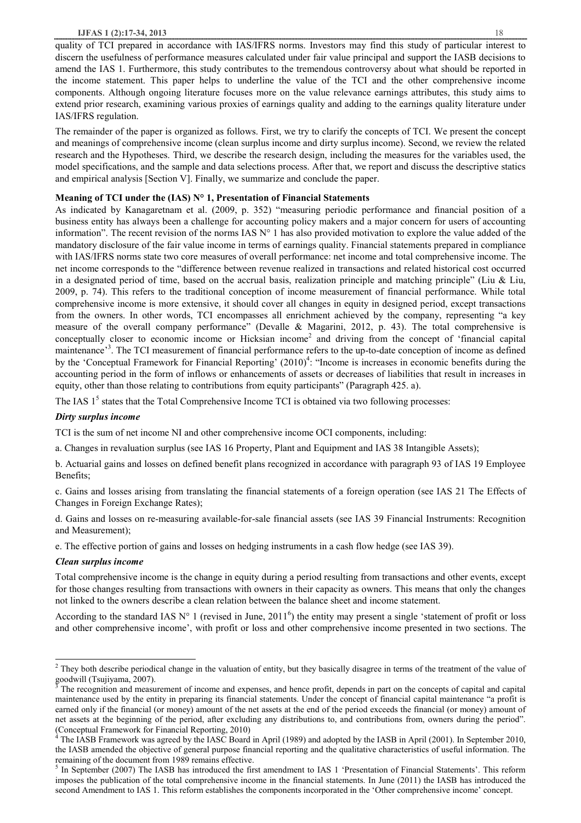#### **IJFAS 1 (2):17-34, 2013** 18

quality of TCI prepared in accordance with IAS/IFRS norms. Investors may find this study of particular interest to discern the usefulness of performance measures calculated under fair value principal and support the IASB decisions to amend the IAS 1. Furthermore, this study contributes to the tremendous controversy about what should be reported in the income statement. This paper helps to underline the value of the TCI and the other comprehensive income components. Although ongoing literature focuses more on the value relevance earnings attributes, this study aims to extend prior research, examining various proxies of earnings quality and adding to the earnings quality literature under IAS/IFRS regulation.

The remainder of the paper is organized as follows. First, we try to clarify the concepts of TCI. We present the concept and meanings of comprehensive income (clean surplus income and dirty surplus income). Second, we review the related research and the Hypotheses. Third, we describe the research design, including the measures for the variables used, the model specifications, and the sample and data selections process. After that, we report and discuss the descriptive statics and empirical analysis [Section V]. Finally, we summarize and conclude the paper.

## **Meaning of TCI under the (IAS) N° 1, Presentation of Financial Statements**

As indicated by Kanagaretnam et al. (2009, p. 352) "measuring periodic performance and financial position of a business entity has always been a challenge for accounting policy makers and a major concern for users of accounting information". The recent revision of the norms IAS  $N^{\circ}$  1 has also provided motivation to explore the value added of the mandatory disclosure of the fair value income in terms of earnings quality. Financial statements prepared in compliance with IAS/IFRS norms state two core measures of overall performance: net income and total comprehensive income. The net income corresponds to the "difference between revenue realized in transactions and related historical cost occurred in a designated period of time, based on the accrual basis, realization principle and matching principle" (Liu & Liu, 2009, p. 74). This refers to the traditional conception of income measurement of financial performance. While total comprehensive income is more extensive, it should cover all changes in equity in designed period, except transactions from the owners. In other words, TCI encompasses all enrichment achieved by the company, representing "a key measure of the overall company performance" (Devalle & Magarini, 2012, p. 43). The total comprehensive is conceptually closer to economic income or Hicksian income<sup>2</sup> and driving from the concept of 'financial capital maintenance<sup>33</sup>. The TCI measurement of financial performance refers to the up-to-date conception of income as defined by the 'Conceptual Framework for Financial Reporting' (2010)<sup>4</sup>: "Income is increases in economic benefits during the accounting period in the form of inflows or enhancements of assets or decreases of liabilities that result in increases in equity, other than those relating to contributions from equity participants" (Paragraph 425. a).

The IAS  $1<sup>5</sup>$  states that the Total Comprehensive Income TCI is obtained via two following processes:

## *Dirty surplus income*

TCI is the sum of net income NI and other comprehensive income OCI components, including:

a. Changes in revaluation surplus (see IAS 16 Property, Plant and Equipment and IAS 38 Intangible Assets);

b. Actuarial gains and losses on defined benefit plans recognized in accordance with paragraph 93 of IAS 19 Employee Benefits;

c. Gains and losses arising from translating the financial statements of a foreign operation (see IAS 21 The Effects of Changes in Foreign Exchange Rates);

d. Gains and losses on re-measuring available-for-sale financial assets (see IAS 39 Financial Instruments: Recognition and Measurement);

e. The effective portion of gains and losses on hedging instruments in a cash flow hedge (see IAS 39).

## *Clean surplus income*

 $\overline{\phantom{a}}$ 

Total comprehensive income is the change in equity during a period resulting from transactions and other events, except for those changes resulting from transactions with owners in their capacity as owners. This means that only the changes not linked to the owners describe a clean relation between the balance sheet and income statement.

According to the standard IAS  $N^{\circ}$  1 (revised in June, 2011<sup>6</sup>) the entity may present a single 'statement of profit or loss and other comprehensive income', with profit or loss and other comprehensive income presented in two sections. The

<sup>&</sup>lt;sup>2</sup> They both describe periodical change in the valuation of entity, but they basically disagree in terms of the treatment of the value of goodwill (Tsujiyama, 2007).

<sup>3</sup> The recognition and measurement of income and expenses, and hence profit, depends in part on the concepts of capital and capital maintenance used by the entity in preparing its financial statements. Under the concept of financial capital maintenance "a profit is earned only if the financial (or money) amount of the net assets at the end of the period exceeds the financial (or money) amount of net assets at the beginning of the period, after excluding any distributions to, and contributions from, owners during the period". (Conceptual Framework for Financial Reporting, 2010)

<sup>4</sup> The IASB Framework was agreed by the IASC Board in April (1989) and adopted by the IASB in April (2001). In September 2010, the IASB amended the objective of general purpose financial reporting and the qualitative characteristics of useful information. The remaining of the document from 1989 remains effective.

 $<sup>5</sup>$  In September (2007) The IASB has introduced the first amendment to IAS 1 'Presentation of Financial Statements'. This reform</sup> imposes the publication of the total comprehensive income in the financial statements. In June (2011) the IASB has introduced the second Amendment to IAS 1. This reform establishes the components incorporated in the 'Other comprehensive income' concept.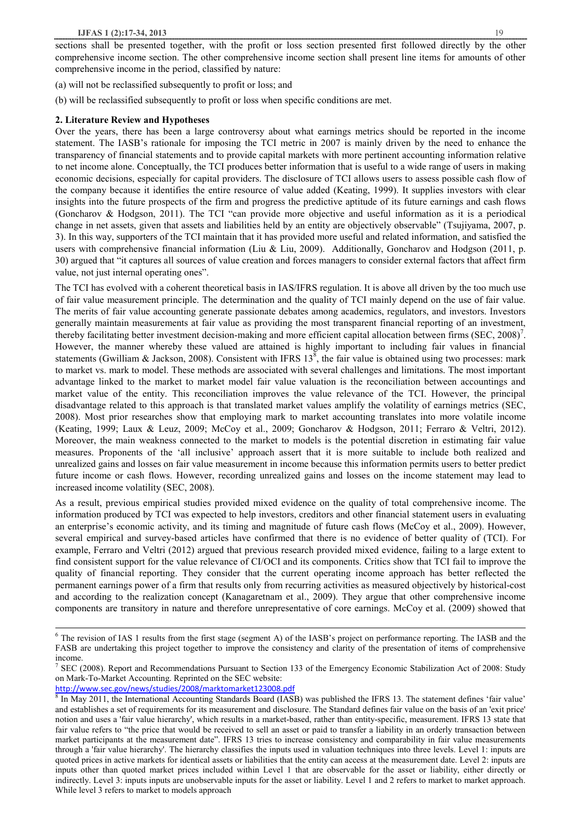sections shall be presented together, with the profit or loss section presented first followed directly by the other comprehensive income section. The other comprehensive income section shall present line items for amounts of other comprehensive income in the period, classified by nature:

- (a) will not be reclassified subsequently to profit or loss; and
- (b) will be reclassified subsequently to profit or loss when specific conditions are met.

### **2. Literature Review and Hypotheses**

Over the years, there has been a large controversy about what earnings metrics should be reported in the income statement. The IASB's rationale for imposing the TCI metric in 2007 is mainly driven by the need to enhance the transparency of financial statements and to provide capital markets with more pertinent accounting information relative to net income alone. Conceptually, the TCI produces better information that is useful to a wide range of users in making economic decisions, especially for capital providers. The disclosure of TCI allows users to assess possible cash flow of the company because it identifies the entire resource of value added (Keating, 1999). It supplies investors with clear insights into the future prospects of the firm and progress the predictive aptitude of its future earnings and cash flows (Goncharov & Hodgson, 2011). The TCI "can provide more objective and useful information as it is a periodical change in net assets, given that assets and liabilities held by an entity are objectively observable" (Tsujiyama, 2007, p. 3). In this way, supporters of the TCI maintain that it has provided more useful and related information, and satisfied the users with comprehensive financial information (Liu & Liu, 2009). Additionally, Goncharov and Hodgson (2011, p. 30) argued that "it captures all sources of value creation and forces managers to consider external factors that affect firm value, not just internal operating ones".

The TCI has evolved with a coherent theoretical basis in IAS/IFRS regulation. It is above all driven by the too much use of fair value measurement principle. The determination and the quality of TCI mainly depend on the use of fair value. The merits of fair value accounting generate passionate debates among academics, regulators, and investors. Investors generally maintain measurements at fair value as providing the most transparent financial reporting of an investment, thereby facilitating better investment decision-making and more efficient capital allocation between firms  $(SEC, 2008)^7$ . However, the manner whereby these valued are attained is highly important to including fair values in financial statements (Gwilliam & Jackson, 2008). Consistent with IFRS  $13^8$ , the fair value is obtained using two processes: mark to market vs. mark to model. These methods are associated with several challenges and limitations. The most important advantage linked to the market to market model fair value valuation is the reconciliation between accountings and market value of the entity. This reconciliation improves the value relevance of the TCI. However, the principal disadvantage related to this approach is that translated market values amplify the volatility of earnings metrics (SEC, 2008). Most prior researches show that employing mark to market accounting translates into more volatile income (Keating, 1999; Laux & Leuz, 2009; McCoy et al., 2009; Goncharov & Hodgson, 2011; Ferraro & Veltri, 2012). Moreover, the main weakness connected to the market to models is the potential discretion in estimating fair value measures. Proponents of the 'all inclusive' approach assert that it is more suitable to include both realized and unrealized gains and losses on fair value measurement in income because this information permits users to better predict future income or cash flows. However, recording unrealized gains and losses on the income statement may lead to increased income volatility (SEC, 2008).

As a result, previous empirical studies provided mixed evidence on the quality of total comprehensive income. The information produced by TCI was expected to help investors, creditors and other financial statement users in evaluating an enterprise's economic activity, and its timing and magnitude of future cash flows (McCoy et al., 2009). However, several empirical and survey-based articles have confirmed that there is no evidence of better quality of (TCI). For example, Ferraro and Veltri (2012) argued that previous research provided mixed evidence, failing to a large extent to find consistent support for the value relevance of CI/OCI and its components. Critics show that TCI fail to improve the quality of financial reporting. They consider that the current operating income approach has better reflected the permanent earnings power of a firm that results only from recurring activities as measured objectively by historical-cost and according to the realization concept (Kanagaretnam et al., 2009). They argue that other comprehensive income components are transitory in nature and therefore unrepresentative of core earnings. McCoy et al. (2009) showed that

http://www.sec.gov/news/studies/2008/marktomarket123008.pdf

 $\overline{a}$ 

<sup>&</sup>lt;sup>6</sup> The revision of IAS 1 results from the first stage (segment A) of the IASB's project on performance reporting. The IASB and the FASB are undertaking this project together to improve the consistency and clarity of the presentation of items of comprehensive income.

<sup>&</sup>lt;sup>7</sup> SEC (2008). Report and Recommendations Pursuant to Section 133 of the Emergency Economic Stabilization Act of 2008: Study on Mark-To-Market Accounting. Reprinted on the SEC website:

<sup>&</sup>lt;sup>8</sup> In May 2011, the International Accounting Standards Board (IASB) was published the IFRS 13. The statement defines 'fair value' and establishes a set of requirements for its measurement and disclosure. The Standard defines fair value on the basis of an 'exit price' notion and uses a 'fair value hierarchy', which results in a market-based, rather than entity-specific, measurement. IFRS 13 state that fair value refers to "the price that would be received to sell an asset or paid to transfer a liability in an orderly transaction between market participants at the measurement date". IFRS 13 tries to increase consistency and comparability in fair value measurements through a 'fair value hierarchy'. The hierarchy classifies the inputs used in valuation techniques into three levels. Level 1: inputs are quoted prices in active markets for identical assets or liabilities that the entity can access at the measurement date. Level 2: inputs are inputs other than quoted market prices included within Level 1 that are observable for the asset or liability, either directly or indirectly. Level 3: inputs inputs are unobservable inputs for the asset or liability. Level 1 and 2 refers to market to market approach. While level 3 refers to market to models approach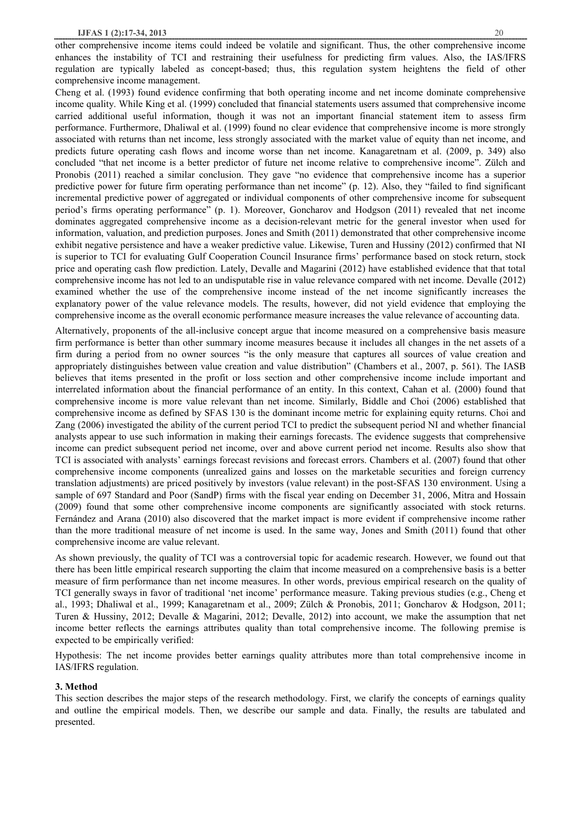other comprehensive income items could indeed be volatile and significant. Thus, the other comprehensive income enhances the instability of TCI and restraining their usefulness for predicting firm values. Also, the IAS/IFRS regulation are typically labeled as concept-based; thus, this regulation system heightens the field of other comprehensive income management.

Cheng et al. (1993) found evidence confirming that both operating income and net income dominate comprehensive income quality. While King et al. (1999) concluded that financial statements users assumed that comprehensive income carried additional useful information, though it was not an important financial statement item to assess firm performance. Furthermore, Dhaliwal et al. (1999) found no clear evidence that comprehensive income is more strongly associated with returns than net income, less strongly associated with the market value of equity than net income, and predicts future operating cash flows and income worse than net income. Kanagaretnam et al. (2009, p. 349) also concluded "that net income is a better predictor of future net income relative to comprehensive income". Zülch and Pronobis (2011) reached a similar conclusion. They gave "no evidence that comprehensive income has a superior predictive power for future firm operating performance than net income" (p. 12). Also, they "failed to find significant incremental predictive power of aggregated or individual components of other comprehensive income for subsequent period's firms operating performance" (p. 1). Moreover, Goncharov and Hodgson (2011) revealed that net income dominates aggregated comprehensive income as a decision-relevant metric for the general investor when used for information, valuation, and prediction purposes. Jones and Smith (2011) demonstrated that other comprehensive income exhibit negative persistence and have a weaker predictive value. Likewise, Turen and Hussiny (2012) confirmed that NI is superior to TCI for evaluating Gulf Cooperation Council Insurance firms' performance based on stock return, stock price and operating cash flow prediction. Lately, Devalle and Magarini (2012) have established evidence that that total comprehensive income has not led to an undisputable rise in value relevance compared with net income. Devalle (2012) examined whether the use of the comprehensive income instead of the net income significantly increases the explanatory power of the value relevance models. The results, however, did not yield evidence that employing the comprehensive income as the overall economic performance measure increases the value relevance of accounting data.

Alternatively, proponents of the all-inclusive concept argue that income measured on a comprehensive basis measure firm performance is better than other summary income measures because it includes all changes in the net assets of a firm during a period from no owner sources "is the only measure that captures all sources of value creation and appropriately distinguishes between value creation and value distribution" (Chambers et al., 2007, p. 561). The IASB believes that items presented in the profit or loss section and other comprehensive income include important and interrelated information about the financial performance of an entity. In this context, Cahan et al. (2000) found that comprehensive income is more value relevant than net income. Similarly, Biddle and Choi (2006) established that comprehensive income as defined by SFAS 130 is the dominant income metric for explaining equity returns. Choi and Zang (2006) investigated the ability of the current period TCI to predict the subsequent period NI and whether financial analysts appear to use such information in making their earnings forecasts. The evidence suggests that comprehensive income can predict subsequent period net income, over and above current period net income. Results also show that TCI is associated with analysts' earnings forecast revisions and forecast errors. Chambers et al. (2007) found that other comprehensive income components (unrealized gains and losses on the marketable securities and foreign currency translation adjustments) are priced positively by investors (value relevant) in the post-SFAS 130 environment. Using a sample of 697 Standard and Poor (SandP) firms with the fiscal year ending on December 31, 2006, Mitra and Hossain (2009) found that some other comprehensive income components are significantly associated with stock returns. Fernández and Arana (2010) also discovered that the market impact is more evident if comprehensive income rather than the more traditional measure of net income is used. In the same way, Jones and Smith (2011) found that other comprehensive income are value relevant.

As shown previously, the quality of TCI was a controversial topic for academic research. However, we found out that there has been little empirical research supporting the claim that income measured on a comprehensive basis is a better measure of firm performance than net income measures. In other words, previous empirical research on the quality of TCI generally sways in favor of traditional 'net income' performance measure. Taking previous studies (e.g., Cheng et al., 1993; Dhaliwal et al., 1999; Kanagaretnam et al., 2009; Zülch & Pronobis, 2011; Goncharov & Hodgson, 2011; Turen & Hussiny, 2012; Devalle & Magarini, 2012; Devalle, 2012) into account, we make the assumption that net income better reflects the earnings attributes quality than total comprehensive income. The following premise is expected to be empirically verified:

Hypothesis: The net income provides better earnings quality attributes more than total comprehensive income in IAS/IFRS regulation.

## **3. Method**

This section describes the major steps of the research methodology. First, we clarify the concepts of earnings quality and outline the empirical models. Then, we describe our sample and data. Finally, the results are tabulated and presented.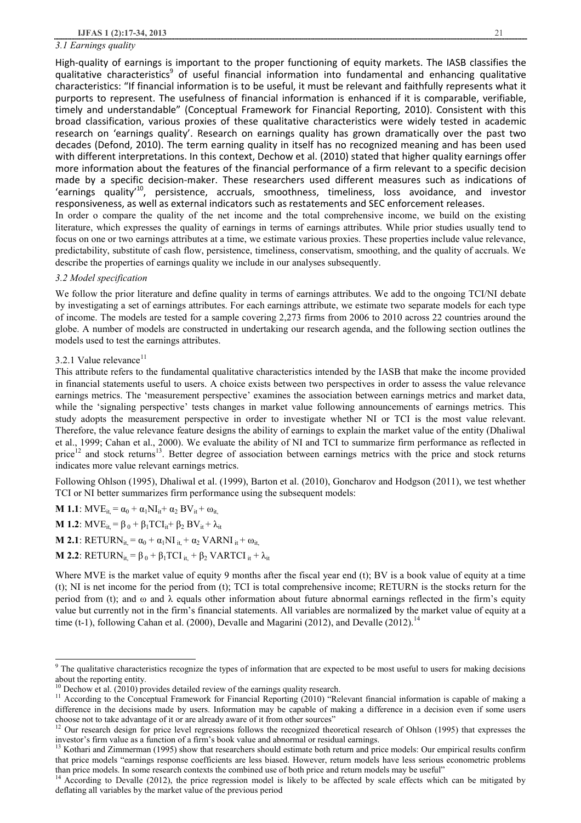#### *3.1 Earnings quality*

High-quality of earnings is important to the proper functioning of equity markets. The IASB classifies the qualitative characteristics<sup>9</sup> of useful financial information into fundamental and enhancing qualitative characteristics: "If financial information is to be useful, it must be relevant and faithfully represents what it purports to represent. The usefulness of financial information is enhanced if it is comparable, verifiable, timely and understandable" (Conceptual Framework for Financial Reporting, 2010). Consistent with this broad classification, various proxies of these qualitative characteristics were widely tested in academic research on 'earnings quality'. Research on earnings quality has grown dramatically over the past two decades (Defond, 2010). The term earning quality in itself has no recognized meaning and has been used with different interpretations. In this context, Dechow et al. (2010) stated that higher quality earnings offer more information about the features of the financial performance of a firm relevant to a specific decision made by a specific decision-maker. These researchers used different measures such as indications of 'earnings quality<sup>10</sup>, persistence, accruals, smoothness, timeliness, loss avoidance, and investor responsiveness, as well as external indicators such as restatements and SEC enforcement releases. In order o compare the quality of the net income and the total comprehensive income, we build on the existing literature, which expresses the quality of earnings in terms of earnings attributes. While prior studies usually tend to

focus on one or two earnings attributes at a time, we estimate various proxies. These properties include value relevance, predictability, substitute of cash flow, persistence, timeliness, conservatism, smoothing, and the quality of accruals. We describe the properties of earnings quality we include in our analyses subsequently.

### *3.2 Model specification*

We follow the prior literature and define quality in terms of earnings attributes. We add to the ongoing TCI/NI debate by investigating a set of earnings attributes. For each earnings attribute, we estimate two separate models for each type of income. The models are tested for a sample covering 2,273 firms from 2006 to 2010 across 22 countries around the globe. A number of models are constructed in undertaking our research agenda, and the following section outlines the models used to test the earnings attributes.

## 3.2.1 Value relevance<sup>11</sup>

 $\overline{\phantom{a}}$ 

This attribute refers to the fundamental qualitative characteristics intended by the IASB that make the income provided in financial statements useful to users. A choice exists between two perspectives in order to assess the value relevance earnings metrics. The 'measurement perspective' examines the association between earnings metrics and market data, while the 'signaling perspective' tests changes in market value following announcements of earnings metrics. This study adopts the measurement perspective in order to investigate whether NI or TCI is the most value relevant. Therefore, the value relevance feature designs the ability of earnings to explain the market value of the entity (Dhaliwal et al., 1999; Cahan et al., 2000). We evaluate the ability of NI and TCI to summarize firm performance as reflected in price<sup>12</sup> and stock returns<sup>13</sup>. Better degree of association between earnings metrics with the price and stock returns indicates more value relevant earnings metrics.

Following Ohlson (1995), Dhaliwal et al. (1999), Barton et al. (2010), Goncharov and Hodgson (2011), we test whether TCI or NI better summarizes firm performance using the subsequent models:

**M 1.1**:  $MVE_{it} = \alpha_0 + \alpha_1 NI_{it} + \alpha_2 BV_{it} + \omega_{it}$ **M 1.2**:  $MVE_{it} = \beta_0 + \beta_1 TCI_{it} + \beta_2 BV_{it} + \lambda_{it}$ **M 2.1**: RETURN<sub>it</sub> =  $\alpha_0 + \alpha_1 N I_{it} + \alpha_2 VARNI_{it} + \omega_{it}$ **M 2.2**: RETURN<sub>it</sub> =  $\beta_0 + \beta_1 TCI$ <sub>it</sub> +  $\beta_2$  VARTCI<sub>it</sub> +  $\lambda_{it}$ 

Where MVE is the market value of equity 9 months after the fiscal year end (t); BV is a book value of equity at a time (t); NI is net income for the period from (t); TCI is total comprehensive income; RETURN is the stocks return for the period from (t); and  $\omega$  and  $\lambda$  equals other information about future abnormal earnings reflected in the firm's equity value but currently not in the firm's financial statements. All variables are normali**zed** by the market value of equity at a time (t-1), following Cahan et al. (2000), Devalle and Magarini (2012), and Devalle (2012).<sup>14</sup>

 $9<sup>9</sup>$  The qualitative characteristics recognize the types of information that are expected to be most useful to users for making decisions about the reporting entity.

<sup>&</sup>lt;sup>10</sup> Dechow et al.  $(2010)$  provides detailed review of the earnings quality research.

<sup>&</sup>lt;sup>11</sup> According to the Conceptual Framework for Financial Reporting (2010) "Relevant financial information is capable of making a difference in the decisions made by users. Information may be capable of making a difference in a decision even if some users choose not to take advantage of it or are already aware of it from other sources"

<sup>&</sup>lt;sup>12</sup> Our research design for price level regressions follows the recognized theoretical research of Ohlson (1995) that expresses the investor's firm value as a function of a firm's book value and abnormal or residual earnings.

<sup>&</sup>lt;sup>13</sup> Kothari and Zimmerman (1995) show that researchers should estimate both return and price models: Our empirical results confirm that price models "earnings response coefficients are less biased. However, return models have less serious econometric problems than price models. In some research contexts the combined use of both price and return models may be useful"

<sup>14</sup>According to Devalle (2012), the price regression model is likely to be affected by scale effects which can be mitigated by deflating all variables by the market value of the previous period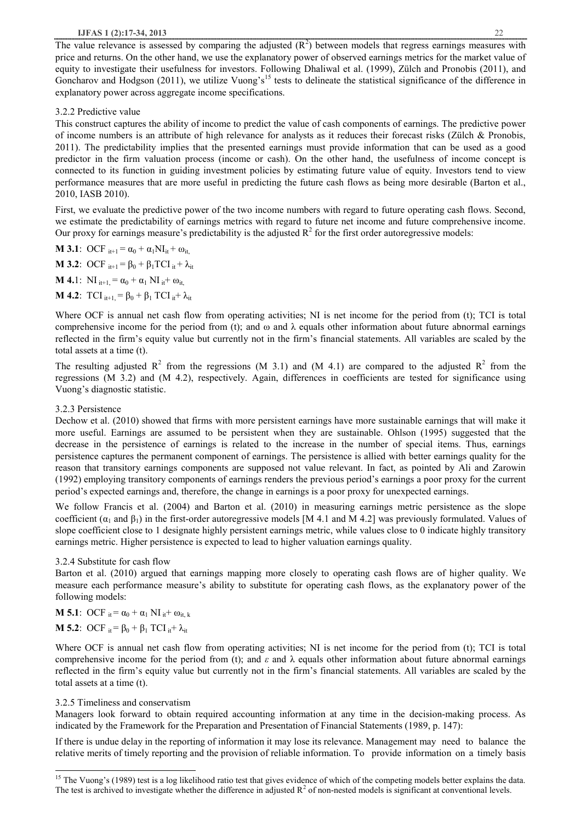The value relevance is assessed by comparing the adjusted  $(R<sup>2</sup>)$  between models that regress earnings measures with price and returns. On the other hand, we use the explanatory power of observed earnings metrics for the market value of equity to investigate their usefulness for investors. Following Dhaliwal et al. (1999), Zülch and Pronobis (2011), and Goncharov and Hodgson (2011), we utilize Vuong's<sup>15</sup> tests to delineate the statistical significance of the difference in explanatory power across aggregate income specifications.

#### 3.2.2 Predictive value

This construct captures the ability of income to predict the value of cash components of earnings. The predictive power of income numbers is an attribute of high relevance for analysts as it reduces their forecast risks (Zülch & Pronobis, 2011). The predictability implies that the presented earnings must provide information that can be used as a good predictor in the firm valuation process (income or cash). On the other hand, the usefulness of income concept is connected to its function in guiding investment policies by estimating future value of equity. Investors tend to view performance measures that are more useful in predicting the future cash flows as being more desirable (Barton et al., 2010, IASB 2010).

First, we evaluate the predictive power of the two income numbers with regard to future operating cash flows. Second, we estimate the predictability of earnings metrics with regard to future net income and future comprehensive income. Our proxy for earnings measure's predictability is the adjusted  $R^2$  for the first order autoregressive models:

**M 3.1**: OCF  $_{it+1} = \alpha_0 + \alpha_1 NI_{it} + \omega_{it}$ **M 3.2**: OCF  $_{it+1} = \beta_0 + \beta_1 \text{TCI}_{it} + \lambda_{it}$ **M 4.**1:  $\text{NI}_{it+1} = \alpha_0 + \alpha_1 \text{ NI}_{it} + \omega_{it}$ 

**M 4.2**:  $TCI_{i+1} = \beta_0 + \beta_1 TCI_{i} + \lambda_{i}$ 

Where OCF is annual net cash flow from operating activities; NI is net income for the period from (t); TCI is total comprehensive income for the period from (t); and  $\omega$  and  $\lambda$  equals other information about future abnormal earnings reflected in the firm's equity value but currently not in the firm's financial statements. All variables are scaled by the total assets at a time (t).

The resulting adjusted  $R^2$  from the regressions (M 3.1) and (M 4.1) are compared to the adjusted  $R^2$  from the regressions (M 3.2) and (M 4.2), respectively. Again, differences in coefficients are tested for significance using Vuong's diagnostic statistic.

### 3.2.3 Persistence

Dechow et al. (2010) showed that firms with more persistent earnings have more sustainable earnings that will make it more useful. Earnings are assumed to be persistent when they are sustainable. Ohlson (1995) suggested that the decrease in the persistence of earnings is related to the increase in the number of special items. Thus, earnings persistence captures the permanent component of earnings. The persistence is allied with better earnings quality for the reason that transitory earnings components are supposed not value relevant. In fact, as pointed by Ali and Zarowin (1992) employing transitory components of earnings renders the previous period's earnings a poor proxy for the current period's expected earnings and, therefore, the change in earnings is a poor proxy for unexpected earnings.

We follow Francis et al. (2004) and Barton et al. (2010) in measuring earnings metric persistence as the slope coefficient ( $\alpha_1$  and  $\beta_1$ ) in the first-order autoregressive models [M 4.1 and M 4.2] was previously formulated. Values of slope coefficient close to 1 designate highly persistent earnings metric, while values close to 0 indicate highly transitory earnings metric. Higher persistence is expected to lead to higher valuation earnings quality.

## 3.2.4 Substitute for cash flow

Barton et al. (2010) argued that earnings mapping more closely to operating cash flows are of higher quality. We measure each performance measure's ability to substitute for operating cash flows, as the explanatory power of the following models:

**M 5.1**: OCF  $_{it} = \alpha_0 + \alpha_1 N I_{it} + \omega_{it}$ **M 5.2**: OCF  $_{it} = \beta_0 + \beta_1$  TCI  $_{it} + \lambda_{it}$ 

Where OCF is annual net cash flow from operating activities; NI is net income for the period from (t); TCI is total comprehensive income for the period from (t); and  $\varepsilon$  and  $\lambda$  equals other information about future abnormal earnings reflected in the firm's equity value but currently not in the firm's financial statements. All variables are scaled by the total assets at a time (t).

## 3.2.5 Timeliness and conservatism

l

Managers look forward to obtain required accounting information at any time in the decision-making process. As indicated by the Framework for the Preparation and Presentation of Financial Statements (1989, p. 147):

If there is undue delay in the reporting of information it may lose its relevance. Management may need to balance the relative merits of timely reporting and the provision of reliable information. To provide information on a timely basis

<sup>&</sup>lt;sup>15</sup> The Vuong's (1989) test is a log likelihood ratio test that gives evidence of which of the competing models better explains the data. The test is archived to investigate whether the difference in adjusted  $R<sup>2</sup>$  of non-nested models is significant at conventional levels.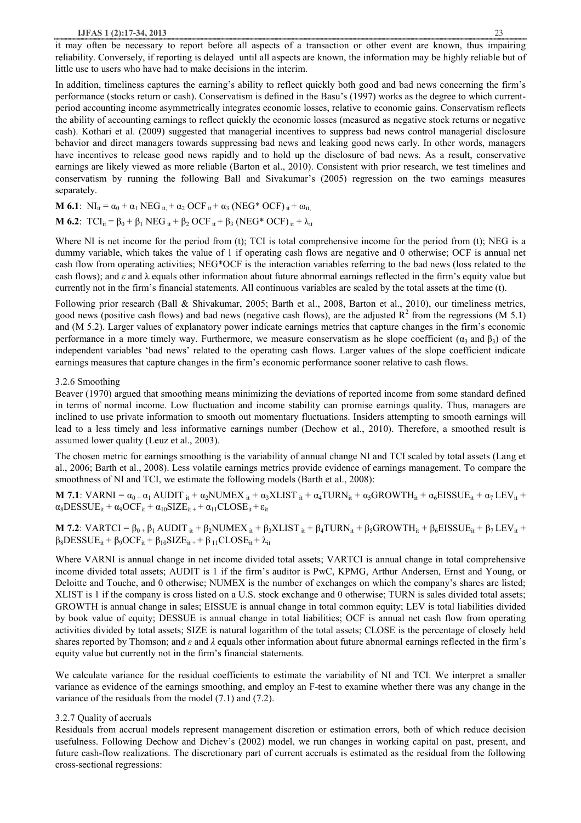it may often be necessary to report before all aspects of a transaction or other event are known, thus impairing reliability. Conversely, if reporting is delayed until all aspects are known, the information may be highly reliable but of little use to users who have had to make decisions in the interim.

In addition, timeliness captures the earning's ability to reflect quickly both good and bad news concerning the firm's performance (stocks return or cash). Conservatism is defined in the Basu's (1997) works as the degree to which currentperiod accounting income asymmetrically integrates economic losses, relative to economic gains. Conservatism reflects the ability of accounting earnings to reflect quickly the economic losses (measured as negative stock returns or negative cash). Kothari et al. (2009) suggested that managerial incentives to suppress bad news control managerial disclosure behavior and direct managers towards suppressing bad news and leaking good news early. In other words, managers have incentives to release good news rapidly and to hold up the disclosure of bad news. As a result, conservative earnings are likely viewed as more reliable (Barton et al., 2010). Consistent with prior research, we test timelines and conservatism by running the following Ball and Sivakumar's (2005) regression on the two earnings measures separately.

**M 6.1**:  $NI_{it} = \alpha_0 + \alpha_1 \text{ NEG}_{it} + \alpha_2 \text{ OCF}_{it} + \alpha_3 \text{ (NEG* OCF)}_{it} + \omega_{it}$ 

$$
\mathbf{M} \text{ 6.2: } TCI_{it} = \beta_0 + \beta_1 \text{ NEG}_{it} + \beta_2 \text{ OCF}_{it} + \beta_3 \text{ (NEG* OCF)}_{it} + \lambda_{it}
$$

Where NI is net income for the period from (t); TCI is total comprehensive income for the period from (t); NEG is a dummy variable, which takes the value of 1 if operating cash flows are negative and 0 otherwise; OCF is annual net cash flow from operating activities; NEG\*OCF is the interaction variables referring to the bad news (loss related to the cash flows); and *ε* and λ equals other information about future abnormal earnings reflected in the firm's equity value but currently not in the firm's financial statements. All continuous variables are scaled by the total assets at the time (t).

Following prior research (Ball & Shivakumar, 2005; Barth et al., 2008, Barton et al., 2010), our timeliness metrics, good news (positive cash flows) and bad news (negative cash flows), are the adjusted  $R^2$  from the regressions (M 5.1) and (M 5.2). Larger values of explanatory power indicate earnings metrics that capture changes in the firm's economic performance in a more timely way. Furthermore, we measure conservatism as he slope coefficient ( $\alpha_3$  and  $\beta_3$ ) of the independent variables 'bad news' related to the operating cash flows. Larger values of the slope coefficient indicate earnings measures that capture changes in the firm's economic performance sooner relative to cash flows.

### 3.2.6 Smoothing

Beaver (1970) argued that smoothing means minimizing the deviations of reported income from some standard defined in terms of normal income. Low fluctuation and income stability can promise earnings quality. Thus, managers are inclined to use private information to smooth out momentary fluctuations. Insiders attempting to smooth earnings will lead to a less timely and less informative earnings number (Dechow et al., 2010). Therefore, a smoothed result is assumed lower quality (Leuz et al., 2003).

The chosen metric for earnings smoothing is the variability of annual change NI and TCI scaled by total assets (Lang et al., 2006; Barth et al., 2008). Less volatile earnings metrics provide evidence of earnings management. To compare the smoothness of NI and TCI, we estimate the following models (Barth et al., 2008):

**M 7.1**: VARNI =  $\alpha_{0+} \alpha_1$  AUDIT  $_{it} + \alpha_2$ NUMEX  $_{it} + \alpha_3$ XLIST  $_{it} + \alpha_4$ TURN $_{it} + \alpha_5$ GROWTH $_{it} + \alpha_6$ EISSUE $_{it} + \alpha_7$ LEV $_{it} +$  $\alpha_8$ DESSUE<sub>it</sub> +  $\alpha_9$ OCF<sub>it</sub> +  $\alpha_{10}$ SIZE<sub>it +</sub> +  $\alpha_{11}$ CLOSE<sub>it</sub> +  $\varepsilon_{it}$ 

**M 7.2**: VARTCI =  $\beta_{0+} \beta_1$  AUDIT  $_{it}$  +  $\beta_2$ NUMEX  $_{it}$  +  $\beta_3$ XLIST  $_{it}$  +  $\beta_4$ TURN $_{it}$  +  $\beta_5$ GROWTH $_{it}$  +  $\beta_6$ EISSUE $_{it}$  +  $\beta_7$ LEV $_{it}$  +  $\beta_8$ DESSUE<sub>it</sub> +  $\beta_9$ OCF<sub>it</sub> +  $\beta_{10}$ SIZE<sub>it +</sub> +  $\beta_{11}$ CLOSE<sub>it</sub> +  $\lambda_{it}$ 

Where VARNI is annual change in net income divided total assets; VARTCI is annual change in total comprehensive income divided total assets; AUDIT is 1 if the firm's auditor is PwC, KPMG, Arthur Andersen, Ernst and Young, or Deloitte and Touche, and 0 otherwise; NUMEX is the number of exchanges on which the company's shares are listed; XLIST is 1 if the company is cross listed on a U.S. stock exchange and 0 otherwise; TURN is sales divided total assets; GROWTH is annual change in sales; EISSUE is annual change in total common equity; LEV is total liabilities divided by book value of equity; DESSUE is annual change in total liabilities; OCF is annual net cash flow from operating activities divided by total assets; SIZE is natural logarithm of the total assets; CLOSE is the percentage of closely held shares reported by Thomson; and *ε* and *λ* equals other information about future abnormal earnings reflected in the firm's equity value but currently not in the firm's financial statements.

We calculate variance for the residual coefficients to estimate the variability of NI and TCI. We interpret a smaller variance as evidence of the earnings smoothing, and employ an F-test to examine whether there was any change in the variance of the residuals from the model (7.1) and (7.2).

#### 3.2.7 Quality of accruals

Residuals from accrual models represent management discretion or estimation errors, both of which reduce decision usefulness. Following Dechow and Dichev's (2002) model, we run changes in working capital on past, present, and future cash-flow realizations. The discretionary part of current accruals is estimated as the residual from the following cross-sectional regressions: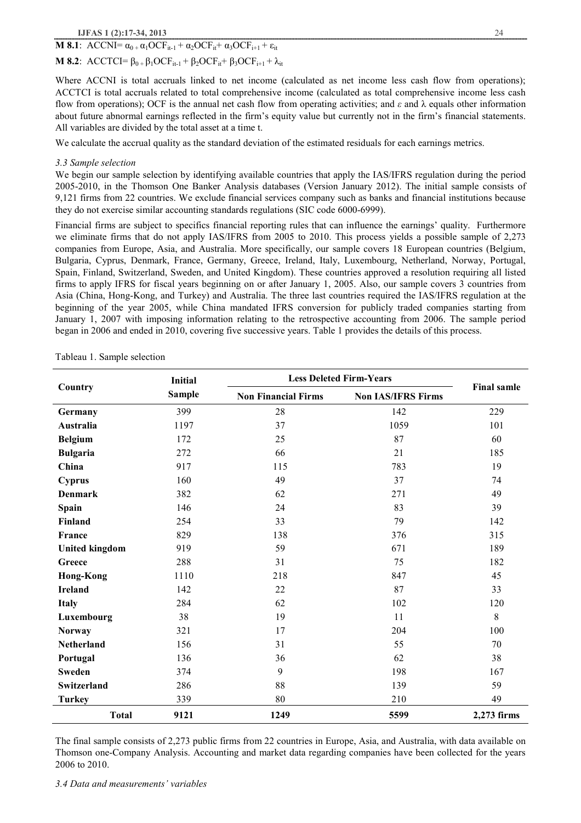## **M 8.1**: ACCNI=  $\alpha_0 + \alpha_1 OCF_{it-1} + \alpha_2 OCF_{it} + \alpha_3 OCF_{i+1} + \varepsilon_{it}$

## **M <b>8.2**: ACCTCI=  $\beta_0 + \beta_1 OCF_{i,t-1} + \beta_2 OCF_{i,t} + \beta_3 OCF_{i+1} + \lambda_{it}$

Where ACCNI is total accruals linked to net income (calculated as net income less cash flow from operations); ACCTCI is total accruals related to total comprehensive income (calculated as total comprehensive income less cash flow from operations); OCF is the annual net cash flow from operating activities; and  $\varepsilon$  and  $\lambda$  equals other information about future abnormal earnings reflected in the firm's equity value but currently not in the firm's financial statements. All variables are divided by the total asset at a time t.

We calculate the accrual quality as the standard deviation of the estimated residuals for each earnings metrics.

## *3.3 Sample selection*

We begin our sample selection by identifying available countries that apply the IAS/IFRS regulation during the period 2005-2010, in the Thomson One Banker Analysis databases (Version January 2012). The initial sample consists of 9,121 firms from 22 countries. We exclude financial services company such as banks and financial institutions because they do not exercise similar accounting standards regulations (SIC code 6000-6999).

Financial firms are subject to specifics financial reporting rules that can influence the earnings' quality. Furthermore we eliminate firms that do not apply IAS/IFRS from 2005 to 2010. This process yields a possible sample of 2,273 companies from Europe, Asia, and Australia. More specifically, our sample covers 18 European countries (Belgium, Bulgaria, Cyprus, Denmark, France, Germany, Greece, Ireland, Italy, Luxembourg, Netherland, Norway, Portugal, Spain, Finland, Switzerland, Sweden, and United Kingdom). These countries approved a resolution requiring all listed firms to apply IFRS for fiscal years beginning on or after January 1, 2005. Also, our sample covers 3 countries from Asia (China, Hong-Kong, and Turkey) and Australia. The three last countries required the IAS/IFRS regulation at the beginning of the year 2005, while China mandated IFRS conversion for publicly traded companies starting from January 1, 2007 with imposing information relating to the retrospective accounting from 2006. The sample period began in 2006 and ended in 2010, covering five successive years. Table 1 provides the details of this process.

|                       | Initial       |                            | <b>Less Deleted Firm-Years</b> |                    |
|-----------------------|---------------|----------------------------|--------------------------------|--------------------|
| Country               | <b>Sample</b> | <b>Non Financial Firms</b> | <b>Non IAS/IFRS Firms</b>      | <b>Final samle</b> |
| Germany               | 399           | 28                         | 142                            | 229                |
| Australia             | 1197          | 37                         | 1059                           | 101                |
| <b>Belgium</b>        | 172           | 25                         | 87                             | 60                 |
| <b>Bulgaria</b>       | 272           | 66                         | 21                             | 185                |
| China                 | 917           | 115                        | 783                            | 19                 |
| <b>Cyprus</b>         | 160           | 49                         | 37                             | 74                 |
| Denmark               | 382           | 62                         | 271                            | 49                 |
| Spain                 | 146           | 24                         | 83                             | 39                 |
| Finland               | 254           | 33                         | 79                             | 142                |
| France                | 829           | 138                        | 376                            | 315                |
| <b>United kingdom</b> | 919           | 59                         | 671                            | 189                |
| Greece                | 288           | 31                         | 75                             | 182                |
| <b>Hong-Kong</b>      | 1110          | 218                        | 847                            | 45                 |
| <b>Ireland</b>        | 142           | 22                         | 87                             | 33                 |
| <b>Italy</b>          | 284           | 62                         | 102                            | 120                |
| Luxembourg            | 38            | 19                         | 11                             | 8                  |
| <b>Norway</b>         | 321           | 17                         | 204                            | 100                |
| <b>Netherland</b>     | 156           | 31                         | 55                             | 70                 |
| Portugal              | 136           | 36                         | 62                             | 38                 |
| <b>Sweden</b>         | 374           | 9                          | 198                            | 167                |
| Switzerland           | 286           | 88                         | 139                            | 59                 |
| <b>Turkey</b>         | 339           | 80                         | 210                            | 49                 |
| <b>Total</b>          | 9121          | 1249                       | 5599                           | 2,273 firms        |

Tableau 1. Sample selection

The final sample consists of 2,273 public firms from 22 countries in Europe, Asia, and Australia, with data available on Thomson one-Company Analysis. Accounting and market data regarding companies have been collected for the years 2006 to 2010.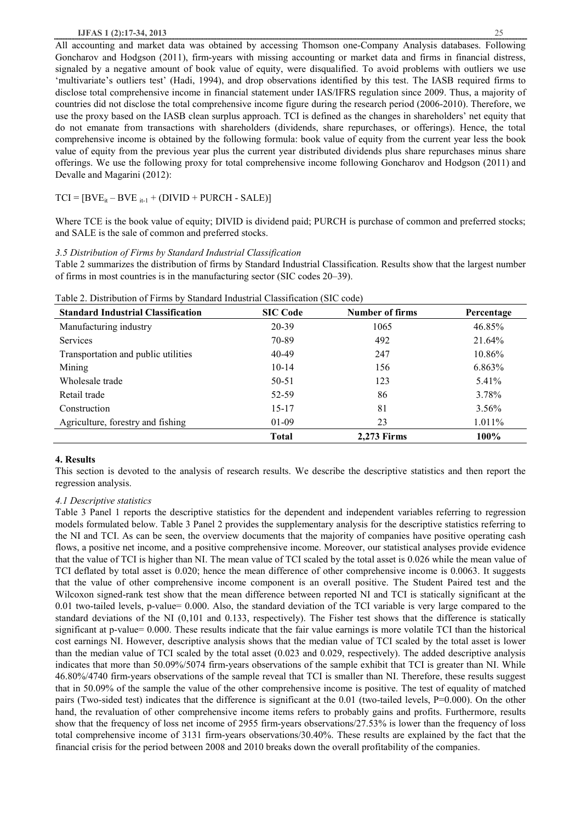#### **IJFAS 1 (2):17-34, 2013** 25

All accounting and market data was obtained by accessing Thomson one-Company Analysis databases. Following Goncharov and Hodgson (2011), firm-years with missing accounting or market data and firms in financial distress, signaled by a negative amount of book value of equity, were disqualified. To avoid problems with outliers we use 'multivariate's outliers test' (Hadi, 1994), and drop observations identified by this test. The IASB required firms to disclose total comprehensive income in financial statement under IAS/IFRS regulation since 2009. Thus, a majority of countries did not disclose the total comprehensive income figure during the research period (2006-2010). Therefore, we use the proxy based on the IASB clean surplus approach. TCI is defined as the changes in shareholders' net equity that do not emanate from transactions with shareholders (dividends, share repurchases, or offerings). Hence, the total comprehensive income is obtained by the following formula: book value of equity from the current year less the book value of equity from the previous year plus the current year distributed dividends plus share repurchases minus share offerings. We use the following proxy for total comprehensive income following Goncharov and Hodgson (2011) and Devalle and Magarini (2012):

 $TCI = [BVE_{it} - BVE_{it-1} + (DIVID + PURCH - SALE)]$ 

Where TCE is the book value of equity; DIVID is dividend paid; PURCH is purchase of common and preferred stocks; and SALE is the sale of common and preferred stocks.

### *3.5 Distribution of Firms by Standard Industrial Classification*

Table 2 summarizes the distribution of firms by Standard Industrial Classification. Results show that the largest number of firms in most countries is in the manufacturing sector (SIC codes 20–39).

| <b>Standard Industrial Classification</b> | <b>SIC Code</b> | <b>Number of firms</b> | Percentage |
|-------------------------------------------|-----------------|------------------------|------------|
| Manufacturing industry                    | 20-39           | 1065                   | 46.85%     |
| <b>Services</b>                           | 70-89           | 492                    | 21.64%     |
| Transportation and public utilities       | 40-49           | 247                    | 10.86%     |
| Mining                                    | $10-14$         | 156                    | 6.863%     |
| Wholesale trade                           | 50-51           | 123                    | 5.41%      |
| Retail trade                              | 52-59           | 86                     | 3.78%      |
| Construction                              | 15-17           | 81                     | $3.56\%$   |
| Agriculture, forestry and fishing         | $01-09$         | 23                     | $1.011\%$  |
|                                           | <b>Total</b>    | <b>2.273 Firms</b>     | $100\%$    |

Table 2. Distribution of Firms by Standard Industrial Classification (SIC code)

#### **4. Results**

This section is devoted to the analysis of research results. We describe the descriptive statistics and then report the regression analysis.

## *4.1 Descriptive statistics*

Table 3 Panel 1 reports the descriptive statistics for the dependent and independent variables referring to regression models formulated below. Table 3 Panel 2 provides the supplementary analysis for the descriptive statistics referring to the NI and TCI. As can be seen, the overview documents that the majority of companies have positive operating cash flows, a positive net income, and a positive comprehensive income. Moreover, our statistical analyses provide evidence that the value of TCI is higher than NI. The mean value of TCI scaled by the total asset is 0.026 while the mean value of TCI deflated by total asset is 0.020; hence the mean difference of other comprehensive income is 0.0063. It suggests that the value of other comprehensive income component is an overall positive. The Student Paired test and the Wilcoxon signed-rank test show that the mean difference between reported NI and TCI is statically significant at the 0.01 two-tailed levels, p-value= 0.000. Also, the standard deviation of the TCI variable is very large compared to the standard deviations of the NI (0,101 and 0.133, respectively). The Fisher test shows that the difference is statically significant at p-value= 0.000. These results indicate that the fair value earnings is more volatile TCI than the historical cost earnings NI. However, descriptive analysis shows that the median value of TCI scaled by the total asset is lower than the median value of TCI scaled by the total asset (0.023 and 0.029, respectively). The added descriptive analysis indicates that more than 50.09%/5074 firm-years observations of the sample exhibit that TCI is greater than NI. While 46.80%/4740 firm-years observations of the sample reveal that TCI is smaller than NI. Therefore, these results suggest that in 50.09% of the sample the value of the other comprehensive income is positive. The test of equality of matched pairs (Two-sided test) indicates that the difference is significant at the 0.01 (two-tailed levels, P=0.000). On the other hand, the revaluation of other comprehensive income items refers to probably gains and profits. Furthermore, results show that the frequency of loss net income of 2955 firm-years observations/27.53% is lower than the frequency of loss total comprehensive income of 3131 firm-years observations/30.40%. These results are explained by the fact that the financial crisis for the period between 2008 and 2010 breaks down the overall profitability of the companies.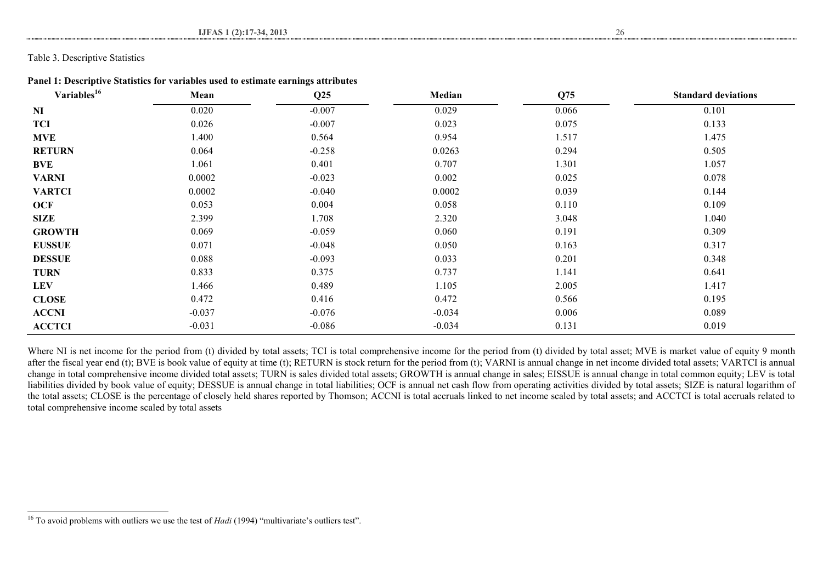Table 3. Descriptive Statistics

l

| Panel 1: Descriptive Statistics for variables used to estimate earnings attributes |  |  |  |  |
|------------------------------------------------------------------------------------|--|--|--|--|
|------------------------------------------------------------------------------------|--|--|--|--|

| Variables <sup>16</sup> | Mean     | Q25      | Median   | Q75   | <b>Standard deviations</b> |
|-------------------------|----------|----------|----------|-------|----------------------------|
| N <sub>I</sub>          | 0.020    | $-0.007$ | 0.029    | 0.066 | 0.101                      |
| <b>TCI</b>              | 0.026    | $-0.007$ | 0.023    | 0.075 | 0.133                      |
| <b>MVE</b>              | 1.400    | 0.564    | 0.954    | 1.517 | 1.475                      |
| <b>RETURN</b>           | 0.064    | $-0.258$ | 0.0263   | 0.294 | 0.505                      |
| <b>BVE</b>              | 1.061    | 0.401    | 0.707    | 1.301 | 1.057                      |
| <b>VARNI</b>            | 0.0002   | $-0.023$ | 0.002    | 0.025 | 0.078                      |
| <b>VARTCI</b>           | 0.0002   | $-0.040$ | 0.0002   | 0.039 | 0.144                      |
| <b>OCF</b>              | 0.053    | 0.004    | 0.058    | 0.110 | 0.109                      |
| <b>SIZE</b>             | 2.399    | 1.708    | 2.320    | 3.048 | 1.040                      |
| <b>GROWTH</b>           | 0.069    | $-0.059$ | 0.060    | 0.191 | 0.309                      |
| <b>EUSSUE</b>           | 0.071    | $-0.048$ | 0.050    | 0.163 | 0.317                      |
| <b>DESSUE</b>           | 0.088    | $-0.093$ | 0.033    | 0.201 | 0.348                      |
| <b>TURN</b>             | 0.833    | 0.375    | 0.737    | 1.141 | 0.641                      |
| <b>LEV</b>              | 1.466    | 0.489    | 1.105    | 2.005 | 1.417                      |
| <b>CLOSE</b>            | 0.472    | 0.416    | 0.472    | 0.566 | 0.195                      |
| <b>ACCNI</b>            | $-0.037$ | $-0.076$ | $-0.034$ | 0.006 | 0.089                      |
| <b>ACCTCI</b>           | $-0.031$ | $-0.086$ | $-0.034$ | 0.131 | 0.019                      |

Where NI is net income for the period from (t) divided by total assets; TCI is total comprehensive income for the period from (t) divided by total asset; MVE is market value of equity 9 month after the fiscal year end (t); BVE is book value of equity at time (t); RETURN is stock return for the period from (t); VARNI is annual change in net income divided total assets; VARTCI is annual change in total comprehensive income divided total assets; TURN is sales divided total assets; GROWTH is annual change in sales; EISSUE is annual change in total common equity; LEV is total liabilities divided by book value of equity; DESSUE is annual change in total liabilities; OCF is annual net cash flow from operating activities divided by total assets; SIZE is natural logarithm of the total assets; CLOSE is the percentage of closely held shares reported by Thomson; ACCNI is total accruals linked to net income scaled by total assets; and ACCTCI is total accruals related to total comprehensive income scaled by total assets

<sup>&</sup>lt;sup>16</sup> To avoid problems with outliers we use the test of *Hadi* (1994) "multivariate's outliers test".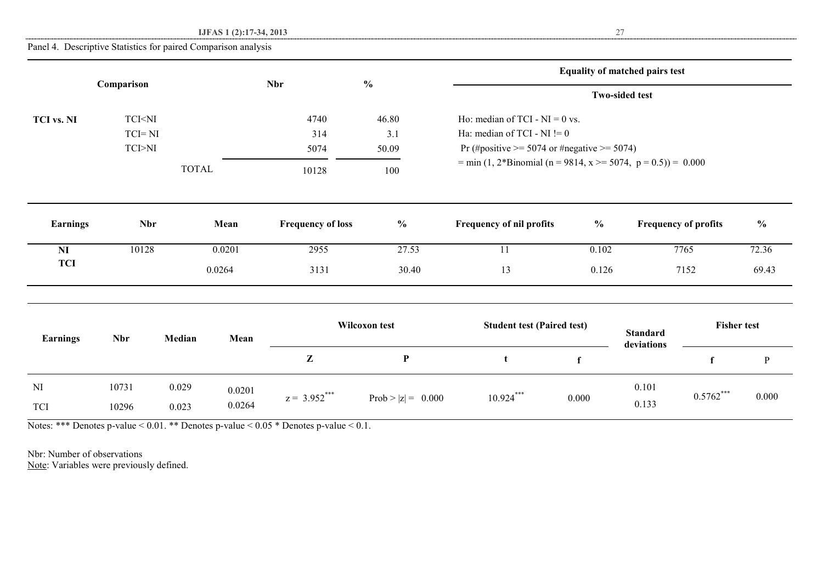**IJFAS 1 (2):17-34, 2013** 27

Panel 4. Descriptive Statistics for paired Comparison analysis

|                   |                                                                                                                                                            |              |        |                          |                      |                                                              |                | <b>Equality of matched pairs test</b> |                    |               |
|-------------------|------------------------------------------------------------------------------------------------------------------------------------------------------------|--------------|--------|--------------------------|----------------------|--------------------------------------------------------------|----------------|---------------------------------------|--------------------|---------------|
|                   | Comparison                                                                                                                                                 |              |        | <b>Nbr</b>               | $\frac{0}{0}$        |                                                              |                | <b>Two-sided test</b>                 |                    |               |
| <b>TCI vs. NI</b> | TCI <ni< th=""><th></th><th></th><th>4740</th><th>46.80</th><th>Ho: median of TCI - <math>NI = 0</math> vs.</th><th></th><th></th><th></th><th></th></ni<> |              |        | 4740                     | 46.80                | Ho: median of TCI - $NI = 0$ vs.                             |                |                                       |                    |               |
|                   | $TCI = NI$                                                                                                                                                 |              |        | 314                      | 3.1                  | Ha: median of TCI - NI $!= 0$                                |                |                                       |                    |               |
|                   | $\ensuremath{\text{TCI-NI}}$                                                                                                                               |              |        | 5074                     | 50.09                | Pr (#positive $\ge$ = 5074 or #negative $\ge$ = 5074)        |                |                                       |                    |               |
|                   |                                                                                                                                                            | <b>TOTAL</b> |        | 10128                    | 100                  | = min (1, 2*Binomial (n = 9814, x >= 5074, p = 0.5)) = 0.000 |                |                                       |                    |               |
| <b>Earnings</b>   | <b>Nbr</b>                                                                                                                                                 |              | Mean   | <b>Frequency of loss</b> | $\frac{0}{0}$        | Frequency of nil profits                                     | $\frac{6}{10}$ | <b>Frequency of profits</b>           |                    | $\frac{6}{6}$ |
|                   |                                                                                                                                                            |              |        |                          |                      |                                                              |                |                                       |                    |               |
| NI                | 10128                                                                                                                                                      |              | 0.0201 | 2955                     | 27.53                | 11                                                           | 0.102          |                                       | 7765               | 72.36         |
| <b>TCI</b>        |                                                                                                                                                            |              | 0.0264 | 3131                     | 30.40                | 13                                                           | 0.126          |                                       | 7152               | 69.43         |
|                   |                                                                                                                                                            |              |        |                          |                      |                                                              |                |                                       |                    |               |
| <b>Earnings</b>   | <b>Nbr</b>                                                                                                                                                 | Median       | Mean   |                          | Wilcoxon test        | <b>Student test (Paired test)</b>                            |                | <b>Standard</b><br>deviations         | <b>Fisher test</b> |               |
|                   |                                                                                                                                                            |              |        | $\mathbf{Z}$             | $\mathbf P$          | t                                                            | $\mathbf f$    |                                       | f                  | $\, {\bf p}$  |
| NI                | 10731                                                                                                                                                      | 0.029        | 0.0201 | $z = 3.952***$           |                      | $10.924***$                                                  | 0.000          | 0.101                                 | $0.5762***$        | 0.000         |
| <b>TCI</b>        | 10296                                                                                                                                                      | 0.023        | 0.0264 |                          | Prob > $ z  = 0.000$ |                                                              |                | 0.133                                 |                    |               |

Notes: \*\*\* Denotes p-value < 0.01. \*\* Denotes p-value < 0.05 \* Denotes p-value < 0.1.

Nbr: Number of observations Note: Variables were previously defined.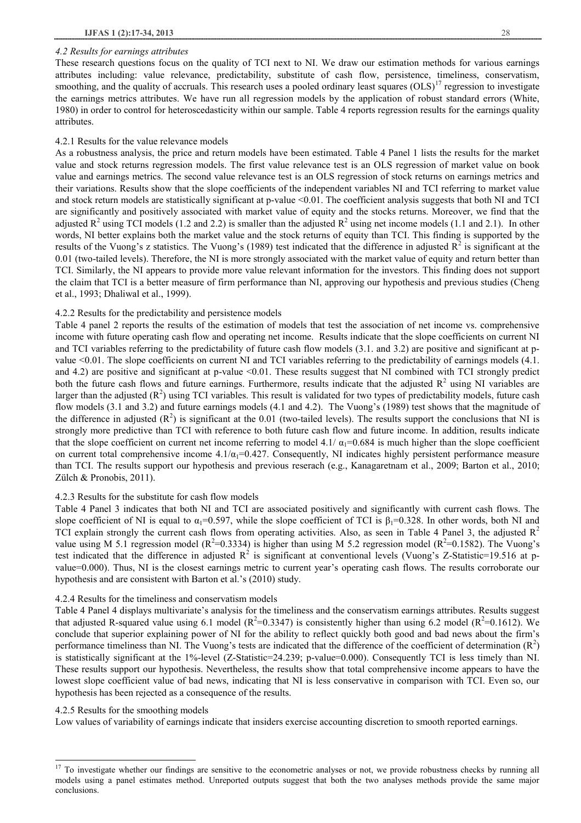#### *4.2 Results for earnings attributes*

These research questions focus on the quality of TCI next to NI. We draw our estimation methods for various earnings attributes including: value relevance, predictability, substitute of cash flow, persistence, timeliness, conservatism, smoothing, and the quality of accruals. This research uses a pooled ordinary least squares  $(OLS)^{17}$  regression to investigate the earnings metrics attributes. We have run all regression models by the application of robust standard errors (White, 1980) in order to control for heteroscedasticity within our sample. Table 4 reports regression results for the earnings quality attributes.

#### 4.2.1 Results for the value relevance models

As a robustness analysis, the price and return models have been estimated. Table 4 Panel 1 lists the results for the market value and stock returns regression models. The first value relevance test is an OLS regression of market value on book value and earnings metrics. The second value relevance test is an OLS regression of stock returns on earnings metrics and their variations. Results show that the slope coefficients of the independent variables NI and TCI referring to market value and stock return models are statistically significant at p-value <0.01. The coefficient analysis suggests that both NI and TCI are significantly and positively associated with market value of equity and the stocks returns. Moreover, we find that the adjusted  $R^2$  using TCI models (1.2 and 2.2) is smaller than the adjusted  $R^2$  using net income models (1.1 and 2.1). In other words, NI better explains both the market value and the stock returns of equity than TCI. This finding is supported by the results of the Vuong's z statistics. The Vuong's (1989) test indicated that the difference in adjusted  $\overline{R}^2$  is significant at the 0.01 (two-tailed levels). Therefore, the NI is more strongly associated with the market value of equity and return better than TCI. Similarly, the NI appears to provide more value relevant information for the investors. This finding does not support the claim that TCI is a better measure of firm performance than NI, approving our hypothesis and previous studies (Cheng et al., 1993; Dhaliwal et al., 1999).

#### 4.2.2 Results for the predictability and persistence models

Table 4 panel 2 reports the results of the estimation of models that test the association of net income vs. comprehensive income with future operating cash flow and operating net income. Results indicate that the slope coefficients on current NI and TCI variables referring to the predictability of future cash flow models (3.1. and 3.2) are positive and significant at pvalue <0.01. The slope coefficients on current NI and TCI variables referring to the predictability of earnings models (4.1. and 4.2) are positive and significant at p-value <0.01. These results suggest that NI combined with TCI strongly predict both the future cash flows and future earnings. Furthermore, results indicate that the adjusted  $R^2$  using NI variables are larger than the adjusted  $(R^2)$  using TCI variables. This result is validated for two types of predictability models, future cash flow models (3.1 and 3.2) and future earnings models (4.1 and 4.2). The Vuong's (1989) test shows that the magnitude of the difference in adjusted  $(R^2)$  is significant at the 0.01 (two-tailed levels). The results support the conclusions that NI is strongly more predictive than TCI with reference to both future cash flow and future income. In addition, results indicate that the slope coefficient on current net income referring to model 4.1/ $\alpha_1$ =0.684 is much higher than the slope coefficient on current total comprehensive income  $4.1/\alpha_1=0.427$ . Consequently, NI indicates highly persistent performance measure than TCI. The results support our hypothesis and previous reserach (e.g., Kanagaretnam et al., 2009; Barton et al., 2010; Zülch & Pronobis, 2011).

#### 4.2.3 Results for the substitute for cash flow models

Table 4 Panel 3 indicates that both NI and TCI are associated positively and significantly with current cash flows. The slope coefficient of NI is equal to  $\alpha_1=0.597$ , while the slope coefficient of TCI is  $\beta_1=0.328$ . In other words, both NI and TCI explain strongly the current cash flows from operating activities. Also, as seen in Table 4 Panel 3, the adjusted  $R<sup>2</sup>$ value using M 5.1 regression model ( $R^2$ =0.3334) is higher than using M 5.2 regression model ( $R^2$ =0.1582). The Vuong's test indicated that the difference in adjusted  $R^2$  is significant at conventional levels (Vuong's Z-Statistic=19.516 at pvalue=0.000). Thus, NI is the closest earnings metric to current year's operating cash flows. The results corroborate our hypothesis and are consistent with Barton et al.'s (2010) study.

#### 4.2.4 Results for the timeliness and conservatism models

Table 4 Panel 4 displays multivariate's analysis for the timeliness and the conservatism earnings attributes. Results suggest that adjusted R-squared value using 6.1 model ( $R^2$ =0.3347) is consistently higher than using 6.2 model ( $R^2$ =0.1612). We conclude that superior explaining power of NI for the ability to reflect quickly both good and bad news about the firm's performance timeliness than NI. The Vuong's tests are indicated that the difference of the coefficient of determination  $(R^2)$ is statistically significant at the 1%-level (Z-Statistic=24.239; p-value=0.000). Consequently TCI is less timely than NI. These results support our hypothesis. Nevertheless, the results show that total comprehensive income appears to have the lowest slope coefficient value of bad news, indicating that NI is less conservative in comparison with TCI. Even so, our hypothesis has been rejected as a consequence of the results.

#### 4.2.5 Results for the smoothing models

 $\overline{\phantom{a}}$ 

Low values of variability of earnings indicate that insiders exercise accounting discretion to smooth reported earnings.

<sup>&</sup>lt;sup>17</sup> To investigate whether our findings are sensitive to the econometric analyses or not, we provide robustness checks by running all models using a panel estimates method. Unreported outputs suggest that both the two analyses methods provide the same major conclusions.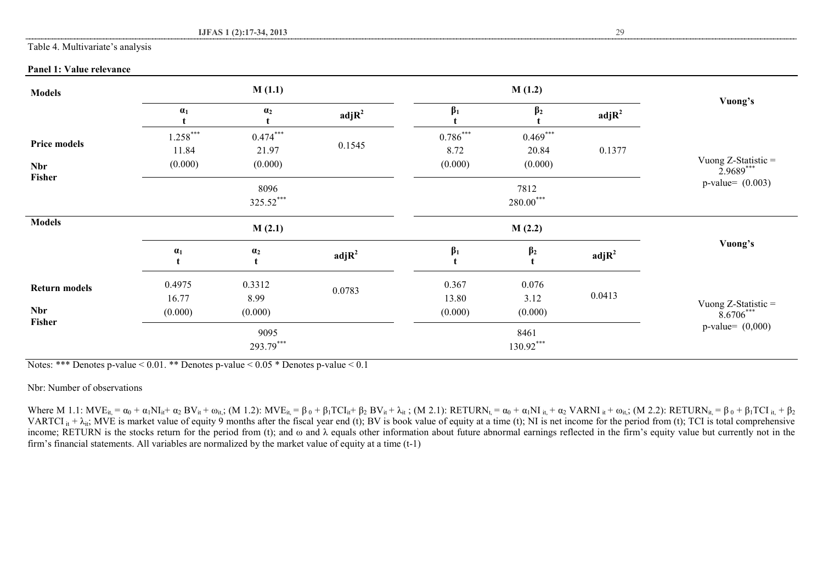#### Table 4. Multivariate's analysis

## **Panel 1: Value relevance**

| <b>Models</b>                      | M(1.1)<br>M(1.2)               |                                |                   |                               |                                |                           |                                    |
|------------------------------------|--------------------------------|--------------------------------|-------------------|-------------------------------|--------------------------------|---------------------------|------------------------------------|
|                                    | $\alpha_1$                     | $\alpha_2$                     | adjR <sup>2</sup> | $\beta_1$                     | $\beta_2$                      | $\text{adj} \mathbb{R}^2$ | Vuong's                            |
| <b>Price models</b><br><b>Nbr</b>  | $1.258***$<br>11.84<br>(0.000) | $0.474***$<br>21.97<br>(0.000) | 0.1545            | $0.786***$<br>8.72<br>(0.000) | $0.469***$<br>20.84<br>(0.000) | 0.1377                    | Vuong Z-Statistic = $2.9689***$    |
| Fisher                             |                                | 8096<br>325.52***              |                   |                               | 7812<br>$280.00***$            | $p-value = (0.003)$       |                                    |
| <b>Models</b>                      |                                | M(2.1)                         |                   |                               | M(2.2)                         |                           |                                    |
|                                    | $\alpha_1$                     | $\alpha_2$<br>t                | adjR <sup>2</sup> | $\beta_1$                     | $\beta_2$                      | adjR <sup>2</sup>         | Vuong's                            |
| <b>Return models</b><br><b>Nbr</b> | 0.4975<br>16.77<br>(0.000)     | 0.3312<br>8.99<br>(0.000)      | 0.0783            | 0.367<br>13.80<br>(0.000)     | 0.076<br>3.12<br>(0.000)       | 0.0413                    | Vuong Z-Statistic =<br>$8.6706***$ |
| Fisher                             |                                | 9095<br>293.79***              |                   |                               | 8461<br>130.92***              |                           | $p-value = (0,000)$                |

Notes: \*\*\* Denotes p-value  $\leq 0.01$ . \*\* Denotes p-value  $\leq 0.05$  \* Denotes p-value  $\leq 0.1$ 

Nbr: Number of observations

Where M 1.1: MVE<sub>it</sub> = α<sub>0</sub> + α<sub>1</sub>NI<sub>it</sub>+ α<sub>2</sub> BV<sub>it</sub> + ω<sub>it</sub>; (M 1.2): MVE<sub>it</sub> = β<sub>0</sub> + β<sub>1</sub>TCI<sub>it</sub>+ β<sub>2</sub> BV<sub>it</sub> + λ<sub>it</sub>; (M 2.1): RETURN<sub>t</sub> = α<sub>0</sub> + α<sub>1</sub>NI<sub>it</sub> + α<sub>2</sub> VARNI<sub>it</sub> + ω<sub>it</sub>; (M 2.2): RETURN<sub>it</sub> = β<sub>0</sub> + β<sub>1</sub> VARTCI it +  $\lambda_{it}$ ; MVE is market value of equity 9 months after the fiscal year end (t); BV is book value of equity at a time (t); NI is net income for the period from (t); TCI is total comprehensive income; RETURN is the stocks return for the period from (t); and ω and λ equals other information about future abnormal earnings reflected in the firm's equity value but currently not in the firm's financial statements. All variables are normalized by the market value of equity at a time (t-1)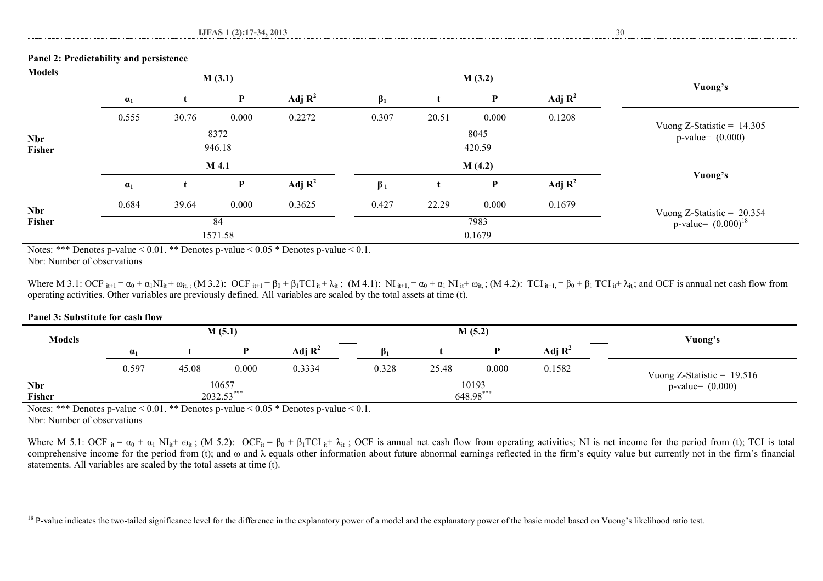### **Panel 2: Predictability and persistence**

| <b>Models</b>        |            |       | M(3.1)         |                    |                |       | M(3.2)         |                    |                                                            |
|----------------------|------------|-------|----------------|--------------------|----------------|-------|----------------|--------------------|------------------------------------------------------------|
|                      | $\alpha_1$ |       | P              | Adj $\mathbf{R}^2$ | $\beta_1$      |       | P              | Adj $\mathbf{R}^2$ | Vuong's                                                    |
|                      | 0.555      | 30.76 | 0.000          | 0.2272             | 0.307          | 20.51 | 0.000          | 0.1208             |                                                            |
| <b>Nbr</b><br>Fisher |            |       | 8372<br>946.18 |                    |                |       | 8045<br>420.59 |                    | Vuong Z-Statistic = $14.305$<br>$p-value = (0.000)$        |
|                      |            |       | M 4.1          |                    |                |       | M(4.2)         |                    |                                                            |
|                      | $\alpha_1$ |       | P              | Adj $R^2$          | $\beta_1$      |       | P              | Adj $R^2$          | Vuong's                                                    |
| <b>Nbr</b>           | 0.684      | 39.64 | 0.000          | 0.3625             | 0.427          | 22.29 | 0.000          | 0.1679             |                                                            |
| Fisher               |            |       | 84<br>1571.58  |                    | 7983<br>0.1679 |       |                |                    | Vuong Z-Statistic = $20.354$<br>$p$ -value= $(0.000)^{18}$ |

Notes: \*\*\* Denotes p-value  $< 0.01$ . \*\* Denotes p-value  $< 0.05$  \* Denotes p-value  $< 0.1$ .

Nbr: Number of observations

Where M 3.1: OCF  $_{it+1} = \alpha_0 + \alpha_1 NI_{it} + \omega_{it}$ ; (M 3.2): OCF  $_{it+1} = \beta_0 + \beta_1 TCI_{it} + \lambda_{it}$ ; (M 4.1): NI  $_{it+1} = \alpha_0 + \alpha_1 NI_{it} + \omega_{it}$ ; (M 4.2): TCI  $_{it+1} = \beta_0 + \beta_1 TCI_{it} + \lambda_{it}$ ; and OCF is annual net cash flow from operating activities. Other variables are previously defined. All variables are scaled by the total assets at time (t).

#### **Panel 3: Substitute for cash flow**

| Models               | M(5.1)                |       |       |                    |           |       | M(5.2) | Vuong's             |                              |
|----------------------|-----------------------|-------|-------|--------------------|-----------|-------|--------|---------------------|------------------------------|
|                      | $\alpha_1$            |       |       | Adj $\mathbf{R}^2$ | $\beta_1$ |       |        | Adj $\mathbf{R}^2$  |                              |
|                      | 0.597                 | 45.08 | 0.000 | 0.3334             | 0.328     | 25.48 | 0.000  | 0.1582              | Vuong Z-Statistic = $19.516$ |
| <b>Nbr</b><br>Fisher | 10657<br>$2032.53***$ |       |       | 10193<br>648.98*** |           |       |        | $p-value = (0.000)$ |                              |

Notes: \*\*\* Denotes p-value  $< 0.01$ . \*\* Denotes p-value  $< 0.05$  \* Denotes p-value  $< 0.1$ .

Nbr: Number of observations

l

Where M 5.1: OCF  $_{it} = \alpha_0 + \alpha_1 N I_{it} + \omega_{it}$ ; (M 5.2): OCF<sub>it</sub> =  $\beta_0 + \beta_1 T C I_{it} + \lambda_{it}$ ; OCF is annual net cash flow from operating activities; NI is net income for the period from (t); TCI is total comprehensive income for the period from (t); and  $\omega$  and  $\lambda$  equals other information about future abnormal earnings reflected in the firm's equity value but currently not in the firm's financial statements. All variables are scaled by the total assets at time (t).

<sup>&</sup>lt;sup>18</sup> P-value indicates the two-tailed significance level for the difference in the explanatory power of a model and the explanatory power of the basic model based on Vuong's likelihood ratio test.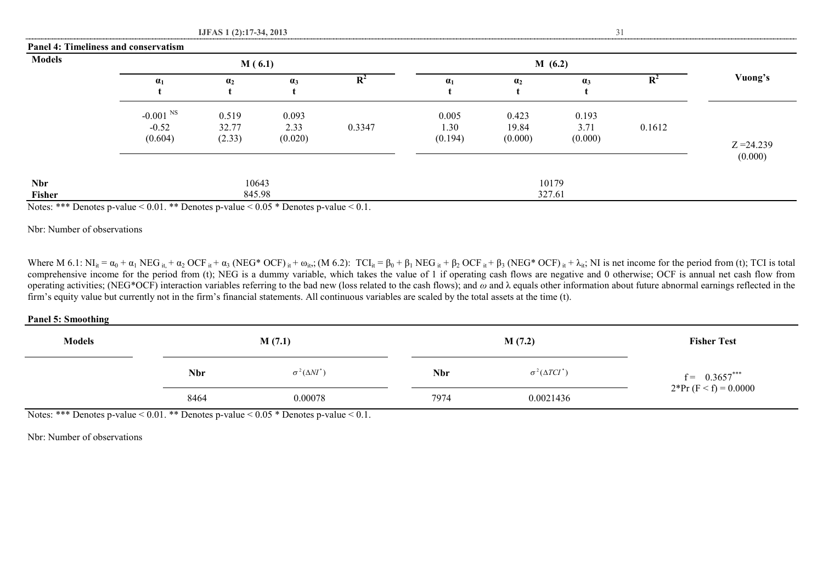|               | Panel 4: Timeliness and conservatism         |                          |                          |                |                         |                           |                          |                |              |
|---------------|----------------------------------------------|--------------------------|--------------------------|----------------|-------------------------|---------------------------|--------------------------|----------------|--------------|
| <b>Models</b> |                                              | M(6.1)                   |                          |                |                         |                           | M(6.2)                   |                |              |
|               | $\alpha_1$                                   | a <sub>2</sub>           | $\alpha_3$               | $\mathbf{R}^2$ | $\alpha_1$              | a <sub>2</sub>            | $\alpha_3$               | $\mathbf{R}^2$ | Vuong's      |
|               | $-0.001$ <sup>NS</sup><br>$-0.52$<br>(0.604) | 0.519<br>32.77<br>(2.33) | 0.093<br>2.33<br>(0.020) | 0.3347         | 0.005<br>.30<br>(0.194) | 0.423<br>19.84<br>(0.000) | 0.193<br>3.71<br>(0.000) | 0.1612         | $Z = 24.239$ |
| <b>Nbr</b>    |                                              | 10643                    |                          |                |                         |                           | 10179                    |                | (0.000)      |
| Fisher        |                                              | 845.98                   |                          |                |                         | 327.61                    |                          |                |              |

Notes: \*\*\* Denotes p-value < 0.01. \*\* Denotes p-value < 0.05 \* Denotes p-value < 0.1.

Nbr: Number of observations

Where M 6.1:  $NI_{it} = \alpha_0 + \alpha_1 \text{ NEG}_{it} + \alpha_2 \text{ OCF}_{it} + \alpha_3 \text{ (NEG* OCF)}_{it} + \omega_{it}$ ; (M 6.2):  $TCI_{it} = \beta_0 + \beta_1 \text{ NEG}_{it} + \beta_2 \text{ OCF}_{it} + \beta_3 \text{ (NEG* OCF)}_{it} + \lambda_{it}$ ; NI is net income for the period from (t); TCI is total comprehensive income for the period from (t); NEG is a dummy variable, which takes the value of 1 if operating cash flows are negative and 0 otherwise; OCF is annual net cash flow from operating activities; (NEG\*OCF) interaction variables referring to the bad new (loss related to the cash flows); and *ω* and λ equals other information about future abnormal earnings reflected in the firm's equity value but currently not in the firm's financial statements. All continuous variables are scaled by the total assets at the time (t).

#### **Panel 5: Smoothing**

| .<br><b>Models</b> |            | M(7.1)                  |            | M(7.2)                   | <b>Fisher Test</b>     |
|--------------------|------------|-------------------------|------------|--------------------------|------------------------|
|                    | <b>Nbr</b> | $\sigma^2(\Delta NI^*)$ | <b>Nbr</b> | $\sigma^2(\Delta TCI^*)$ | $f = 0.3657***$        |
|                    | 8464       | 0.00078                 | 7974       | 0.0021436                | $2*Pr(F < f) = 0.0000$ |

Notes: \*\*\* Denotes p-value  $< 0.01$ . \*\* Denotes p-value  $< 0.05$  \* Denotes p-value  $< 0.1$ .

Nbr: Number of observations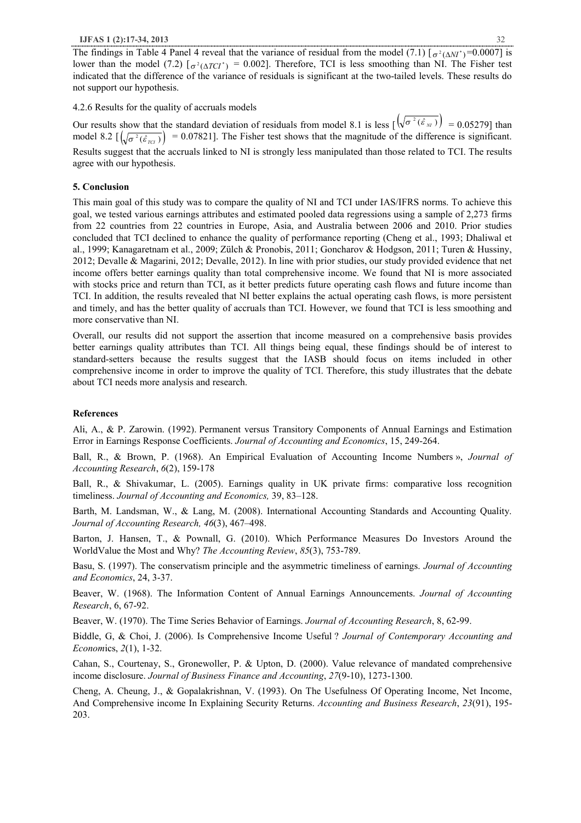4.2.6 Results for the quality of accruals models

Our results show that the standard deviation of residuals from model 8.1 is less  $\left[\sqrt{\sigma^2(\hat{\epsilon}_M)}\right] = 0.05279$  than model 8.2  $\left[\sqrt{\sigma^2(\hat{\varepsilon}_{\text{rc1}})}\right] = 0.07821$ . The Fisher test shows that the magnitude of the difference is significant. Results suggest that the accruals linked to NI is strongly less manipulated than those related to TCI. The results agree with our hypothesis.

## **5. Conclusion**

This main goal of this study was to compare the quality of NI and TCI under IAS/IFRS norms. To achieve this goal, we tested various earnings attributes and estimated pooled data regressions using a sample of 2,273 firms from 22 countries from 22 countries in Europe, Asia, and Australia between 2006 and 2010. Prior studies concluded that TCI declined to enhance the quality of performance reporting (Cheng et al., 1993; Dhaliwal et al., 1999; Kanagaretnam et al., 2009; Zülch & Pronobis, 2011; Goncharov & Hodgson, 2011; Turen & Hussiny, 2012; Devalle & Magarini, 2012; Devalle, 2012). In line with prior studies, our study provided evidence that net income offers better earnings quality than total comprehensive income. We found that NI is more associated with stocks price and return than TCI, as it better predicts future operating cash flows and future income than TCI. In addition, the results revealed that NI better explains the actual operating cash flows, is more persistent and timely, and has the better quality of accruals than TCI. However, we found that TCI is less smoothing and more conservative than NI.

Overall, our results did not support the assertion that income measured on a comprehensive basis provides better earnings quality attributes than TCI. All things being equal, these findings should be of interest to standard-setters because the results suggest that the IASB should focus on items included in other comprehensive income in order to improve the quality of TCI. Therefore, this study illustrates that the debate about TCI needs more analysis and research.

## **References**

Ali, A., & P. Zarowin. (1992). Permanent versus Transitory Components of Annual Earnings and Estimation Error in Earnings Response Coefficients. *Journal of Accounting and Economics*, 15, 249-264.

Ball, R., & Brown, P. (1968). An Empirical Evaluation of Accounting Income Numbers », *Journal of Accounting Research*, *6*(2), 159-178

Ball, R., & Shivakumar, L. (2005). Earnings quality in UK private firms: comparative loss recognition timeliness. *Journal of Accounting and Economics,* 39, 83–128.

Barth, M. Landsman, W., & Lang, M. (2008). International Accounting Standards and Accounting Quality. *Journal of Accounting Research, 46*(3), 467–498.

Barton, J. Hansen, T., & Pownall, G. (2010). Which Performance Measures Do Investors Around the WorldValue the Most and Why? *The Accounting Review*, *85*(3), 753-789.

Basu, S. (1997). The conservatism principle and the asymmetric timeliness of earnings. *Journal of Accounting and Economics*, 24, 3-37.

Beaver, W. (1968). The Information Content of Annual Earnings Announcements. *Journal of Accounting Research*, 6, 67-92.

Beaver, W. (1970). The Time Series Behavior of Earnings. *Journal of Accounting Research*, 8, 62-99.

Biddle, G, & Choi, J. (2006). Is Comprehensive Income Useful ? *Journal of Contemporary Accounting and Econom*ics, *2*(1), 1-32.

Cahan, S., Courtenay, S., Gronewoller, P. & Upton, D. (2000). Value relevance of mandated comprehensive income disclosure. *Journal of Business Finance and Accounting*, *27*(9-10), 1273-1300.

Cheng, A. Cheung, J., & Gopalakrishnan, V. (1993). On The Usefulness Of Operating Income, Net Income, And Comprehensive income In Explaining Security Returns. *Accounting and Business Research*, *23*(91), 195- 203.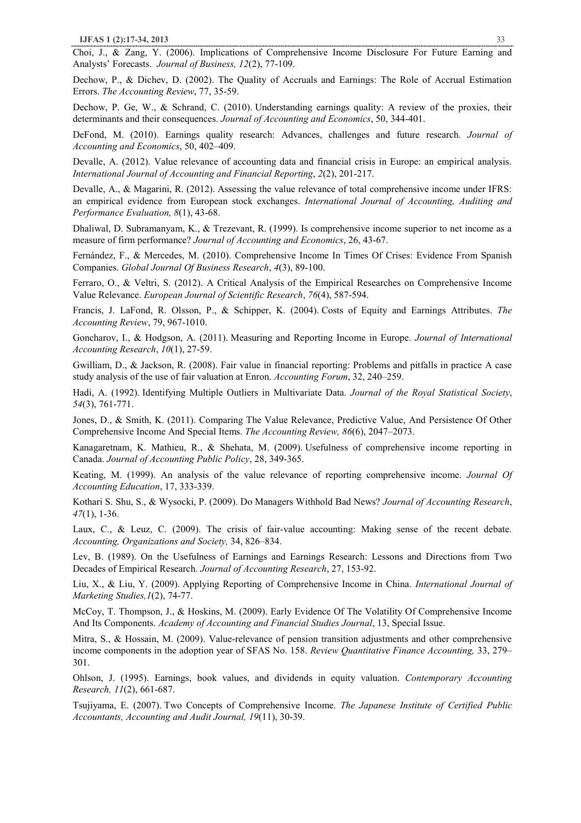Choi, J., & Zang, Y. (2006). Implications of Comprehensive Income Disclosure For Future Earning and Analysts' Forecasts. *Journal of Business, 12*(2), 77-109.

Dechow, P., & Dichev, D. (2002). The Quality of Accruals and Earnings: The Role of Accrual Estimation Errors. *The Accounting Review*, 77, 35-59.

Dechow, P. Ge, W., & Schrand, C. (2010). Understanding earnings quality: A review of the proxies, their determinants and their consequences. *Journal of Accounting and Economics*, 50, 344-401.

DeFond, M. (2010). Earnings quality research: Advances, challenges and future research. *Journal of Accounting and Economics*, 50, 402–409.

Devalle, A. (2012). Value relevance of accounting data and financial crisis in Europe: an empirical analysis. *International Journal of Accounting and Financial Reporting*, *2*(2), 201-217.

Devalle, A., & Magarini, R. (2012). Assessing the value relevance of total comprehensive income under IFRS: an empirical evidence from European stock exchanges. *International Journal of Accounting, Auditing and Performance Evaluation, 8*(1), 43-68.

Dhaliwal, D. Subramanyam, K., & Trezevant, R. (1999). Is comprehensive income superior to net income as a measure of firm performance? *Journal of Accounting and Economics*, 26, 43-67.

Fernández, F., & Mercedes, M. (2010). Comprehensive Income In Times Of Crises: Evidence From Spanish Companies. *Global Journal Of Business Research*, *4*(3), 89-100.

Ferraro, O., & Veltri, S. (2012). A Critical Analysis of the Empirical Researches on Comprehensive Income Value Relevance. *European Journal of Scientific Research*, *76*(4), 587-594.

Francis, J. LaFond, R. Olsson, P., & Schipper, K. (2004). Costs of Equity and Earnings Attributes. *The Accounting Review*, 79, 967-1010.

Goncharov, I., & Hodgson, A. (2011). Measuring and Reporting Income in Europe. *Journal of International Accounting Research*, *10*(1), 27-59.

Gwilliam, D., & Jackson, R. (2008). Fair value in financial reporting: Problems and pitfalls in practice A case study analysis of the use of fair valuation at Enron. *Accounting Forum*, 32, 240–259.

Hadi, A. (1992). Identifying Multiple Outliers in Multivariate Data. *Journal of the Royal Statistical Society*, *54*(3), 761-771.

Jones, D., & Smith, K. (2011). Comparing The Value Relevance, Predictive Value, And Persistence Of Other Comprehensive Income And Special Items. *The Accounting Review, 86*(6), 2047–2073.

Kanagaretnam, K. Mathieu, R., & Shehata, M. (2009). Usefulness of comprehensive income reporting in Canada. *Journal of Accounting Public Policy*, 28, 349-365.

Keating, M. (1999). An analysis of the value relevance of reporting comprehensive income. *Journal Of Accounting Education*, 17, 333-339.

Kothari S. Shu, S., & Wysocki, P. (2009). Do Managers Withhold Bad News? *Journal of Accounting Research*, *47*(1), 1-36.

Laux, C., & Leuz, C. (2009). The crisis of fair-value accounting: Making sense of the recent debate. *Accounting, Organizations and Society,* 34, 826–834.

Lev, B. (1989). On the Usefulness of Earnings and Earnings Research: Lessons and Directions from Two Decades of Empirical Research. *Journal of Accounting Research*, 27, 153-92.

Liu, X., & Liu, Y. (2009). Applying Reporting of Comprehensive Income in China. *International Journal of Marketing Studies,1*(2), 74-77.

McCoy, T. Thompson, J., & Hoskins, M. (2009). Early Evidence Of The Volatility Of Comprehensive Income And Its Components. *Academy of Accounting and Financial Studies Journal*, 13, Special Issue.

Mitra, S., & Hossain, M. (2009). Value-relevance of pension transition adjustments and other comprehensive income components in the adoption year of SFAS No. 158. *Review Quantitative Finance Accounting,* 33, 279– 301.

Ohlson, J. (1995). Earnings, book values, and dividends in equity valuation. *Contemporary Accounting Research, 11*(2), 661-687.

Tsujiyama, E. (2007). Two Concepts of Comprehensive Income. *The Japanese Institute of Certified Public Accountants, Accounting and Audit Journal, 19*(11), 30-39.